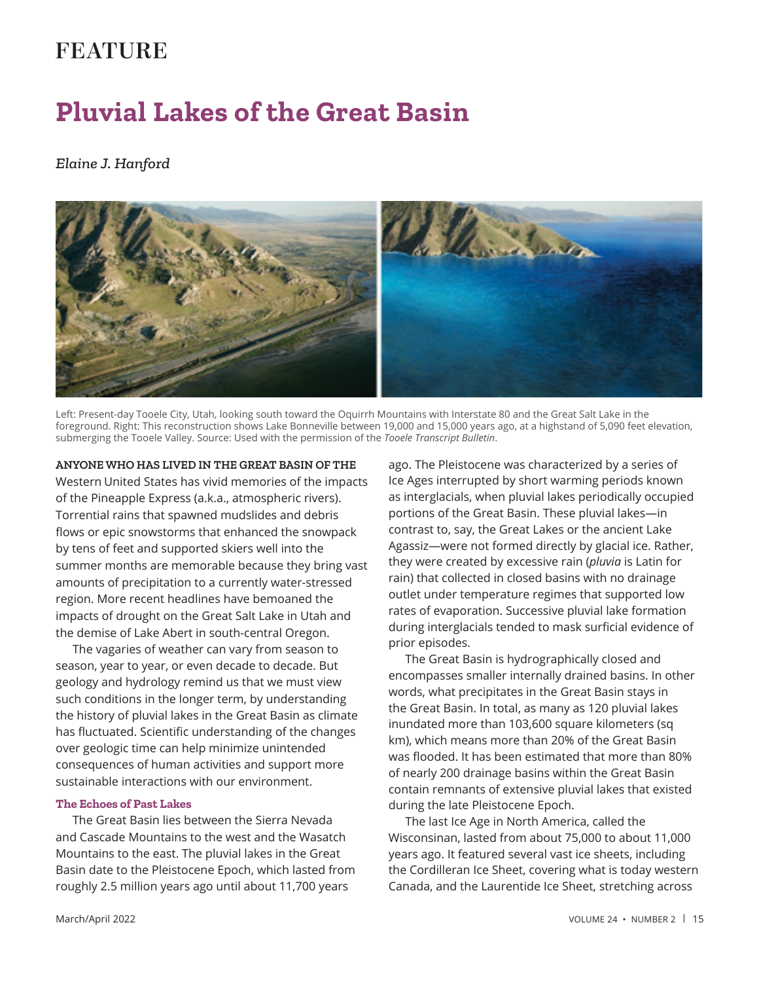## **FEATURE**

# **Pluvial Lakes of the Great Basin**

#### *Elaine J. Hanford*



Left: Present-day Tooele City, Utah, looking south toward the Oquirrh Mountains with Interstate 80 and the Great Salt Lake in the foreground. Right: This reconstruction shows Lake Bonneville between 19,000 and 15,000 years ago, at a highstand of 5,090 feet elevation, submerging the Tooele Valley. Source: Used with the permission of the *Tooele Transcript Bulletin*.

#### **ANYONE WHO HAS LIVED IN THE GREAT BASIN OF THE**

Western United States has vivid memories of the impacts of the Pineapple Express (a.k.a., atmospheric rivers). Torrential rains that spawned mudslides and debris flows or epic snowstorms that enhanced the snowpack by tens of feet and supported skiers well into the summer months are memorable because they bring vast amounts of precipitation to a currently water-stressed region. More recent headlines have bemoaned the impacts of drought on the Great Salt Lake in Utah and the demise of Lake Abert in south-central Oregon.

The vagaries of weather can vary from season to season, year to year, or even decade to decade. But geology and hydrology remind us that we must view such conditions in the longer term, by understanding the history of pluvial lakes in the Great Basin as climate has fluctuated. Scientific understanding of the changes over geologic time can help minimize unintended consequences of human activities and support more sustainable interactions with our environment.

#### **The Echoes of Past Lakes**

The Great Basin lies between the Sierra Nevada and Cascade Mountains to the west and the Wasatch Mountains to the east. The pluvial lakes in the Great Basin date to the Pleistocene Epoch, which lasted from roughly 2.5 million years ago until about 11,700 years

ago. The Pleistocene was characterized by a series of Ice Ages interrupted by short warming periods known as interglacials, when pluvial lakes periodically occupied portions of the Great Basin. These pluvial lakes—in contrast to, say, the Great Lakes or the ancient Lake Agassiz—were not formed directly by glacial ice. Rather, they were created by excessive rain (*pluvia* is Latin for rain) that collected in closed basins with no drainage outlet under temperature regimes that supported low rates of evaporation. Successive pluvial lake formation during interglacials tended to mask surficial evidence of prior episodes.

The Great Basin is hydrographically closed and encompasses smaller internally drained basins. In other words, what precipitates in the Great Basin stays in the Great Basin. In total, as many as 120 pluvial lakes inundated more than 103,600 square kilometers (sq km), which means more than 20% of the Great Basin was flooded. It has been estimated that more than 80% of nearly 200 drainage basins within the Great Basin contain remnants of extensive pluvial lakes that existed during the late Pleistocene Epoch.

The last Ice Age in North America, called the Wisconsinan, lasted from about 75,000 to about 11,000 years ago. It featured several vast ice sheets, including the Cordilleran Ice Sheet, covering what is today western Canada, and the Laurentide Ice Sheet, stretching across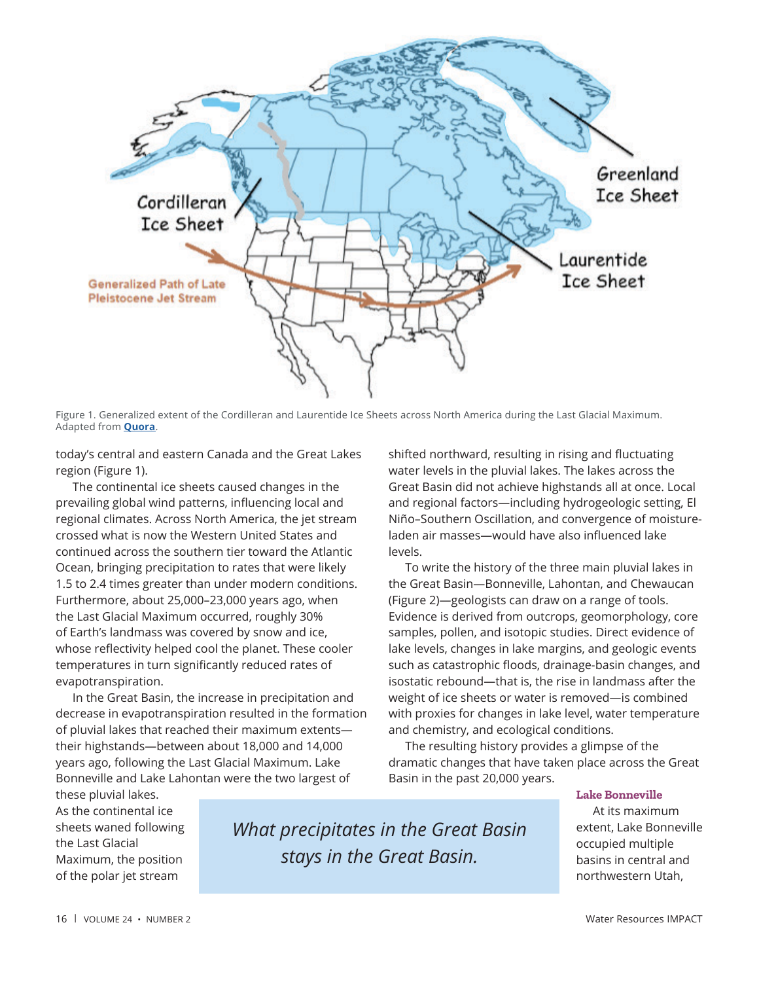

Figure 1. Generalized extent of the Cordilleran and Laurentide Ice Sheets across North America during the Last Glacial Maximum. Adapted from **[Quora](https://www.quora.com/Was-all-of-Alaska-covered-by-glaciers-during-the-Pleistocene-Ice-Age)**.

today's central and eastern Canada and the Great Lakes region (Figure 1).

The continental ice sheets caused changes in the prevailing global wind patterns, influencing local and regional climates. Across North America, the jet stream crossed what is now the Western United States and continued across the southern tier toward the Atlantic Ocean, bringing precipitation to rates that were likely 1.5 to 2.4 times greater than under modern conditions. Furthermore, about 25,000–23,000 years ago, when the Last Glacial Maximum occurred, roughly 30% of Earth's landmass was covered by snow and ice, whose reflectivity helped cool the planet. These cooler temperatures in turn significantly reduced rates of evapotranspiration.

In the Great Basin, the increase in precipitation and decrease in evapotranspiration resulted in the formation of pluvial lakes that reached their maximum extents their highstands—between about 18,000 and 14,000 years ago, following the Last Glacial Maximum. Lake Bonneville and Lake Lahontan were the two largest of

these pluvial lakes. As the continental ice sheets waned following the Last Glacial Maximum, the position of the polar jet stream

*What precipitates in the Great Basin stays in the Great Basin.*

shifted northward, resulting in rising and fluctuating water levels in the pluvial lakes. The lakes across the Great Basin did not achieve highstands all at once. Local and regional factors—including hydrogeologic setting, El Niño–Southern Oscillation, and convergence of moistureladen air masses-would have also influenced lake levels.

To write the history of the three main pluvial lakes in the Great Basin—Bonneville, Lahontan, and Chewaucan (Figure 2)—geologists can draw on a range of tools. Evidence is derived from outcrops, geomorphology, core samples, pollen, and isotopic studies. Direct evidence of lake levels, changes in lake margins, and geologic events such as catastrophic floods, drainage-basin changes, and isostatic rebound—that is, the rise in landmass after the weight of ice sheets or water is removed—is combined with proxies for changes in lake level, water temperature and chemistry, and ecological conditions.

The resulting history provides a glimpse of the dramatic changes that have taken place across the Great Basin in the past 20,000 years.

#### **Lake Bonneville**

At its maximum extent, Lake Bonneville occupied multiple basins in central and northwestern Utah,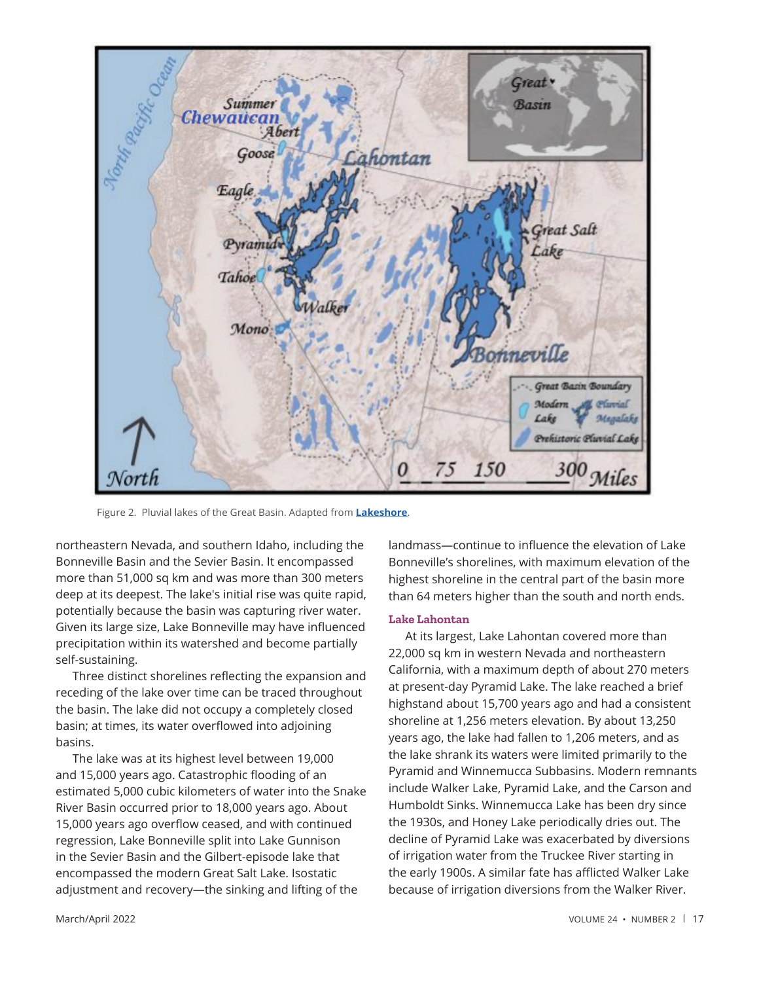

Figure 2. Pluvial lakes of the Great Basin. Adapted from **[Lakeshore](https://www.lakeshoresup.com/wp-content/uploads/2015/04/Pluvial2.jpg)**.

northeastern Nevada, and southern Idaho, including the Bonneville Basin and the Sevier Basin. It encompassed more than 51,000 sq km and was more than 300 meters deep at its deepest. The lake's initial rise was quite rapid, potentially because the basin was capturing river water. Given its large size, Lake Bonneville may have influenced precipitation within its watershed and become partially self-sustaining.

Three distinct shorelines reflecting the expansion and receding of the lake over time can be traced throughout the basin. The lake did not occupy a completely closed basin; at times, its water overflowed into adjoining basins.

The lake was at its highest level between 19,000 and 15,000 years ago. Catastrophic flooding of an estimated 5,000 cubic kilometers of water into the Snake River Basin occurred prior to 18,000 years ago. About 15,000 years ago overflow ceased, and with continued regression, Lake Bonneville split into Lake Gunnison in the Sevier Basin and the Gilbert-episode lake that encompassed the modern Great Salt Lake. Isostatic adjustment and recovery—the sinking and lifting of the

landmass-continue to influence the elevation of Lake Bonneville's shorelines, with maximum elevation of the highest shoreline in the central part of the basin more than 64 meters higher than the south and north ends.

#### **Lake Lahontan**

At its largest, Lake Lahontan covered more than 22,000 sq km in western Nevada and northeastern California, with a maximum depth of about 270 meters at present-day Pyramid Lake. The lake reached a brief highstand about 15,700 years ago and had a consistent shoreline at 1,256 meters elevation. By about 13,250 years ago, the lake had fallen to 1,206 meters, and as the lake shrank its waters were limited primarily to the Pyramid and Winnemucca Subbasins. Modern remnants include Walker Lake, Pyramid Lake, and the Carson and Humboldt Sinks. Winnemucca Lake has been dry since the 1930s, and Honey Lake periodically dries out. The decline of Pyramid Lake was exacerbated by diversions of irrigation water from the Truckee River starting in the early 1900s. A similar fate has afflicted Walker Lake because of irrigation diversions from the Walker River.